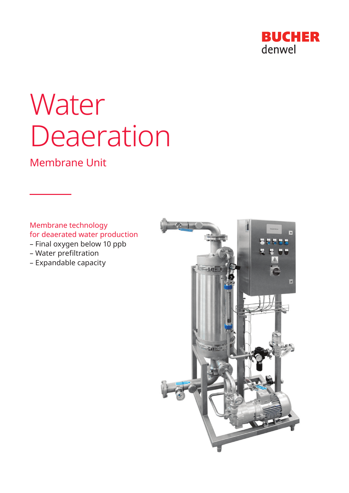

# Water Deaeration

# Membrane Unit

Membrane technology for deaerated water production

- Final oxygen below 10 ppb
- Water prefiltration
- Expandable capacity